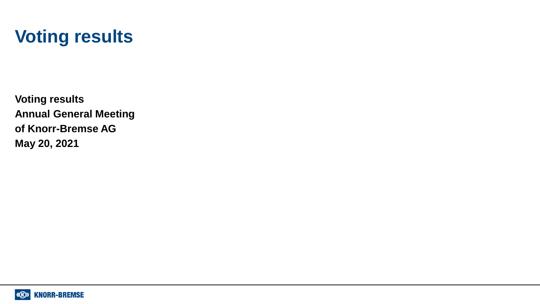# **Voting results**

**Voting results Annual General Meeting of Knorr-Bremse AG May 20, 2021**

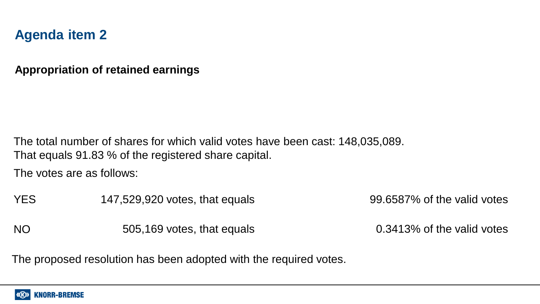#### **Appropriation of retained earnings**

The total number of shares for which valid votes have been cast: 148,035,089. That equals 91.83 % of the registered share capital.

The votes are as follows:

YES 147,529,920 votes, that equals 99.6587% of the valid votes

NO 505,169 votes, that equals 0.3413% of the valid votes

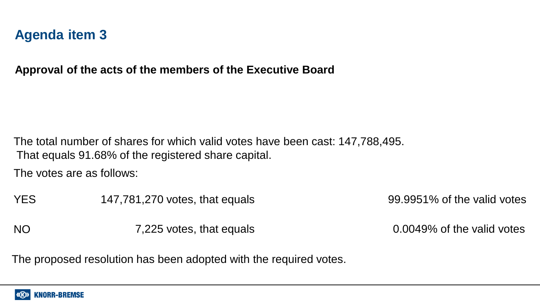**Approval of the acts of the members of the Executive Board** 

The total number of shares for which valid votes have been cast: 147,788,495. That equals 91.68% of the registered share capital.

The votes are as follows:

YES 147,781,270 votes, that equals 99.9951% of the valid votes

NO 7,225 votes, that equals 0.0049% of the valid votes

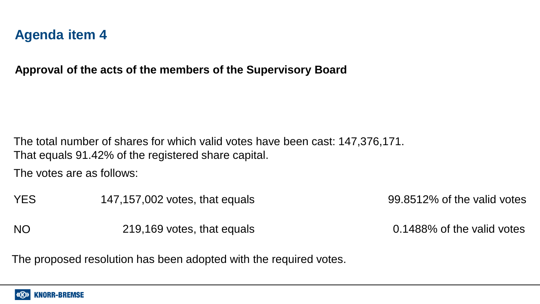**Approval of the acts of the members of the Supervisory Board** 

The total number of shares for which valid votes have been cast: 147,376,171. That equals 91.42% of the registered share capital.

The votes are as follows:

YES 147,157,002 votes, that equals 99.8512% of the valid votes

NO 219,169 votes, that equals 0.1488% of the valid votes

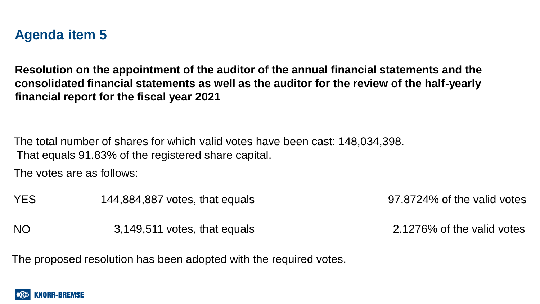**Resolution on the appointment of the auditor of the annual financial statements and the consolidated financial statements as well as the auditor for the review of the half-yearly financial report for the fiscal year 2021**

The total number of shares for which valid votes have been cast: 148,034,398. That equals 91.83% of the registered share capital.

The votes are as follows:

YES 144,884,887 votes, that equals 97.8724% of the valid votes

NO 3,149,511 votes, that equals 2.1276% of the valid votes

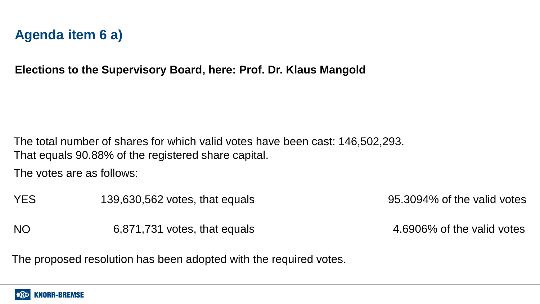# **Agenda item 6 a)**

**Elections to the Supervisory Board, here: Prof. Dr. Klaus Mangold**

The total number of shares for which valid votes have been cast: 146,502,293. That equals 90.88% of the registered share capital.

The votes are as follows:

YES 139,630,562 votes, that equals 95.3094% of the valid votes

NO 6,871,731 votes, that equals 4.6906% of the valid votes

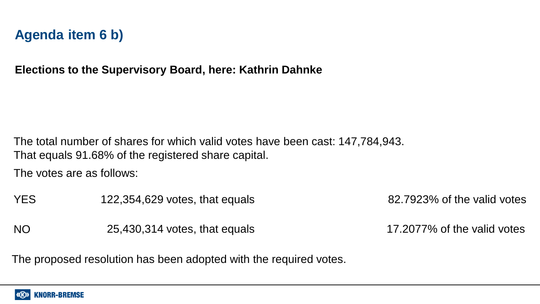# **Agenda item 6 b)**

**Elections to the Supervisory Board, here: Kathrin Dahnke**

The total number of shares for which valid votes have been cast: 147,784,943. That equals 91.68% of the registered share capital.

The votes are as follows:

YES 122,354,629 votes, that equals 82.7923% of the valid votes

NO 25,430,314 votes, that equals 17.2077% of the valid votes

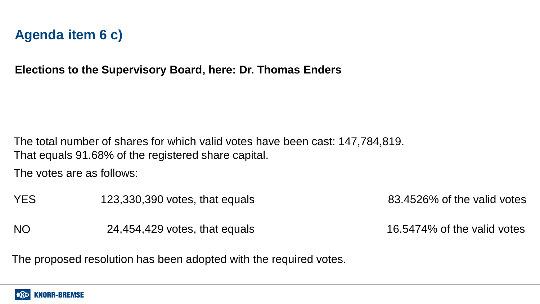### **Agenda item 6 c)**

**Elections to the Supervisory Board, here: Dr. Thomas Enders**

The total number of shares for which valid votes have been cast: 147,784,819. That equals 91.68% of the registered share capital.

The votes are as follows:

YES 123,330,390 votes, that equals 83.4526% of the valid votes

NO 24,454,429 votes, that equals 16.5474% of the valid votes

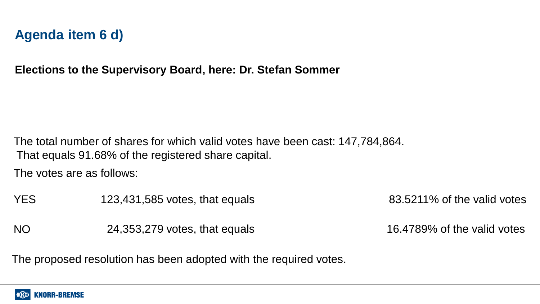# **Agenda item 6 d)**

**Elections to the Supervisory Board, here: Dr. Stefan Sommer**

The total number of shares for which valid votes have been cast: 147,784,864. That equals 91.68% of the registered share capital.

The votes are as follows:

YES 123,431,585 votes, that equals 83.5211% of the valid votes

NO 24,353,279 votes, that equals 16.4789% of the valid votes

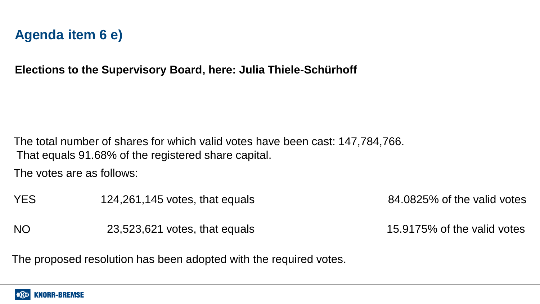# **Agenda item 6 e)**

**Elections to the Supervisory Board, here: Julia Thiele-Schürhoff**

The total number of shares for which valid votes have been cast: 147,784,766. That equals 91.68% of the registered share capital.

The votes are as follows:

YES 124,261,145 votes, that equals 84.0825% of the valid votes

NO 23,523,621 votes, that equals 15.9175% of the valid votes

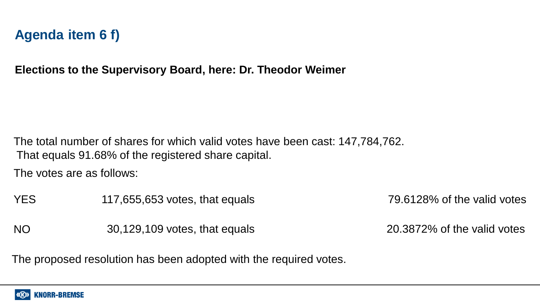# **Agenda item 6 f)**

**Elections to the Supervisory Board, here: Dr. Theodor Weimer**

The total number of shares for which valid votes have been cast: 147,784,762. That equals 91.68% of the registered share capital.

The votes are as follows:

YES 117,655,653 votes, that equals 79.6128% of the valid votes

NO 30,129,109 votes, that equals 20.3872% of the valid votes

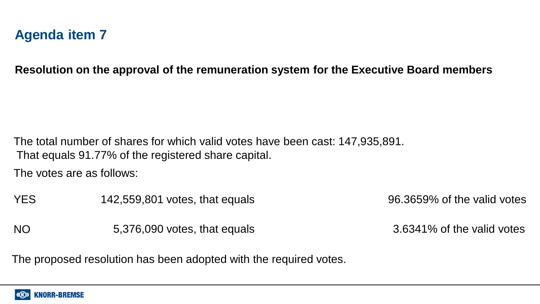**Resolution on the approval of the remuneration system for the Executive Board members**

The total number of shares for which valid votes have been cast: 147,935,891. That equals 91.77% of the registered share capital.

The votes are as follows:

YES 142,559,801 votes, that equals 96.3659% of the valid votes

NO 5,376,090 votes, that equals 3.6341% of the valid votes

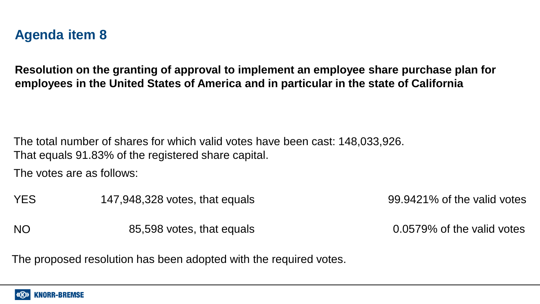**Resolution on the granting of approval to implement an employee share purchase plan for employees in the United States of America and in particular in the state of California**

The total number of shares for which valid votes have been cast: 148,033,926. That equals 91.83% of the registered share capital.

The votes are as follows:

YES 147,948,328 votes, that equals 99.9421% of the valid votes

NO 85,598 votes, that equals 0.0579% of the valid votes